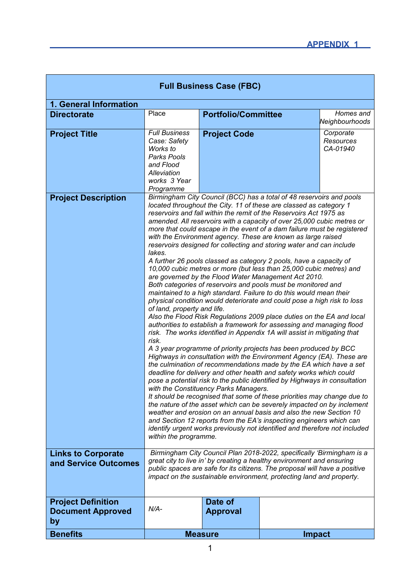| <b>Full Business Case (FBC)</b>                             |                                                                                                                                                                                                                                                                                                                                                                                                                                                                                                                                                                                                                                                                                                                                                                                                                                                                                                                                                                                                                                                                                                                                                                                                                                                                                                                                                                                                                                                                                                                                                                                                                                                                                                                                                                                                                                                                                                                                        |                            |               |                                    |  |
|-------------------------------------------------------------|----------------------------------------------------------------------------------------------------------------------------------------------------------------------------------------------------------------------------------------------------------------------------------------------------------------------------------------------------------------------------------------------------------------------------------------------------------------------------------------------------------------------------------------------------------------------------------------------------------------------------------------------------------------------------------------------------------------------------------------------------------------------------------------------------------------------------------------------------------------------------------------------------------------------------------------------------------------------------------------------------------------------------------------------------------------------------------------------------------------------------------------------------------------------------------------------------------------------------------------------------------------------------------------------------------------------------------------------------------------------------------------------------------------------------------------------------------------------------------------------------------------------------------------------------------------------------------------------------------------------------------------------------------------------------------------------------------------------------------------------------------------------------------------------------------------------------------------------------------------------------------------------------------------------------------------|----------------------------|---------------|------------------------------------|--|
| 1. General Information                                      |                                                                                                                                                                                                                                                                                                                                                                                                                                                                                                                                                                                                                                                                                                                                                                                                                                                                                                                                                                                                                                                                                                                                                                                                                                                                                                                                                                                                                                                                                                                                                                                                                                                                                                                                                                                                                                                                                                                                        |                            |               |                                    |  |
| <b>Directorate</b>                                          | Place                                                                                                                                                                                                                                                                                                                                                                                                                                                                                                                                                                                                                                                                                                                                                                                                                                                                                                                                                                                                                                                                                                                                                                                                                                                                                                                                                                                                                                                                                                                                                                                                                                                                                                                                                                                                                                                                                                                                  | <b>Portfolio/Committee</b> |               | Homes and<br>Neighbourhoods        |  |
| <b>Project Title</b>                                        | <b>Full Business</b><br>Case: Safety<br>Works to<br>Parks Pools<br>and Flood<br>Alleviation<br>works 3 Year<br>Programme                                                                                                                                                                                                                                                                                                                                                                                                                                                                                                                                                                                                                                                                                                                                                                                                                                                                                                                                                                                                                                                                                                                                                                                                                                                                                                                                                                                                                                                                                                                                                                                                                                                                                                                                                                                                               | <b>Project Code</b>        |               | Corporate<br>Resources<br>CA-01940 |  |
| <b>Project Description</b>                                  | Birmingham City Council (BCC) has a total of 48 reservoirs and pools<br>located throughout the City. 11 of these are classed as category 1<br>reservoirs and fall within the remit of the Reservoirs Act 1975 as<br>amended. All reservoirs with a capacity of over 25,000 cubic metres or<br>more that could escape in the event of a dam failure must be registered<br>with the Environment agency. These are known as large raised<br>reservoirs designed for collecting and storing water and can include<br>lakes.<br>A further 26 pools classed as category 2 pools, have a capacity of<br>10,000 cubic metres or more (but less than 25,000 cubic metres) and<br>are governed by the Flood Water Management Act 2010.<br>Both categories of reservoirs and pools must be monitored and<br>maintained to a high standard. Failure to do this would mean their<br>physical condition would deteriorate and could pose a high risk to loss<br>of land, property and life.<br>Also the Flood Risk Regulations 2009 place duties on the EA and local<br>authorities to establish a framework for assessing and managing flood<br>risk. The works identified in Appendix 1A will assist in mitigating that<br>risk.<br>A 3 year programme of priority projects has been produced by BCC<br>Highways in consultation with the Environment Agency (EA). These are<br>the culmination of recommendations made by the EA which have a set<br>deadline for delivery and other health and safety works which could<br>pose a potential risk to the public identified by Highways in consultation<br>with the Constituency Parks Managers.<br>It should be recognised that some of these priorities may change due to<br>the nature of the asset which can be severely impacted on by inclement<br>weather and erosion on an annual basis and also the new Section 10<br>and Section 12 reports from the EA's inspecting engineers which can |                            |               |                                    |  |
| <b>Links to Corporate</b><br>and Service Outcomes           | Birmingham City Council Plan 2018-2022, specifically 'Birmingham is a<br>great city to live in' by creating a healthy environment and ensuring<br>public spaces are safe for its citizens. The proposal will have a positive<br>impact on the sustainable environment, protecting land and property.                                                                                                                                                                                                                                                                                                                                                                                                                                                                                                                                                                                                                                                                                                                                                                                                                                                                                                                                                                                                                                                                                                                                                                                                                                                                                                                                                                                                                                                                                                                                                                                                                                   |                            |               |                                    |  |
| <b>Project Definition</b><br><b>Document Approved</b><br>by | $N/A-$                                                                                                                                                                                                                                                                                                                                                                                                                                                                                                                                                                                                                                                                                                                                                                                                                                                                                                                                                                                                                                                                                                                                                                                                                                                                                                                                                                                                                                                                                                                                                                                                                                                                                                                                                                                                                                                                                                                                 | Date of<br><b>Approval</b> |               |                                    |  |
| <b>Benefits</b>                                             |                                                                                                                                                                                                                                                                                                                                                                                                                                                                                                                                                                                                                                                                                                                                                                                                                                                                                                                                                                                                                                                                                                                                                                                                                                                                                                                                                                                                                                                                                                                                                                                                                                                                                                                                                                                                                                                                                                                                        | <b>Measure</b>             | <b>Impact</b> |                                    |  |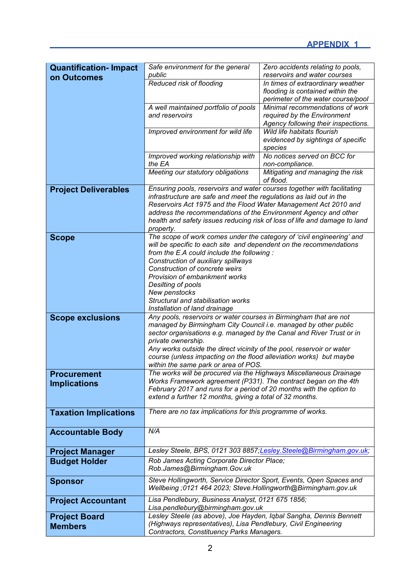| <b>Quantification-Impact</b><br>on Outcomes | Safe environment for the general<br>public                                                                                            | Zero accidents relating to pools,<br>reservoirs and water courses     |  |  |  |  |
|---------------------------------------------|---------------------------------------------------------------------------------------------------------------------------------------|-----------------------------------------------------------------------|--|--|--|--|
|                                             | Reduced risk of flooding                                                                                                              | In times of extraordinary weather<br>flooding is contained within the |  |  |  |  |
|                                             |                                                                                                                                       | perimeter of the water course/pool                                    |  |  |  |  |
|                                             | A well maintained portfolio of pools                                                                                                  | Minimal recommendations of work                                       |  |  |  |  |
|                                             | and reservoirs                                                                                                                        | required by the Environment                                           |  |  |  |  |
|                                             |                                                                                                                                       | Agency following their inspections.                                   |  |  |  |  |
|                                             | Improved environment for wild life                                                                                                    | Wild life habitats flourish                                           |  |  |  |  |
|                                             |                                                                                                                                       | evidenced by sightings of specific                                    |  |  |  |  |
|                                             | Improved working relationship with                                                                                                    | species<br>No notices served on BCC for                               |  |  |  |  |
|                                             | the EA                                                                                                                                | non-compliance.                                                       |  |  |  |  |
|                                             | Meeting our statutory obligations                                                                                                     | Mitigating and managing the risk<br>of flood.                         |  |  |  |  |
| <b>Project Deliverables</b>                 | Ensuring pools, reservoirs and water courses together with facilitating                                                               |                                                                       |  |  |  |  |
|                                             | infrastructure are safe and meet the regulations as laid out in the                                                                   |                                                                       |  |  |  |  |
|                                             | Reservoirs Act 1975 and the Flood Water Management Act 2010 and                                                                       |                                                                       |  |  |  |  |
|                                             | address the recommendations of the Environment Agency and other                                                                       |                                                                       |  |  |  |  |
|                                             | health and safety issues reducing risk of loss of life and damage to land                                                             |                                                                       |  |  |  |  |
|                                             | property.<br>The scope of work comes under the category of 'civil engineering' and                                                    |                                                                       |  |  |  |  |
| <b>Scope</b>                                | will be specific to each site and dependent on the recommendations                                                                    |                                                                       |  |  |  |  |
|                                             | from the E.A could include the following:                                                                                             |                                                                       |  |  |  |  |
|                                             | Construction of auxiliary spillways                                                                                                   |                                                                       |  |  |  |  |
|                                             | Construction of concrete weirs                                                                                                        |                                                                       |  |  |  |  |
|                                             | Provision of embankment works                                                                                                         |                                                                       |  |  |  |  |
|                                             | Desilting of pools                                                                                                                    |                                                                       |  |  |  |  |
|                                             | New penstocks                                                                                                                         |                                                                       |  |  |  |  |
|                                             | Structural and stabilisation works<br>Installation of land drainage                                                                   |                                                                       |  |  |  |  |
| <b>Scope exclusions</b>                     | Any pools, reservoirs or water courses in Birmingham that are not                                                                     |                                                                       |  |  |  |  |
|                                             | managed by Birmingham City Council i.e. managed by other public                                                                       |                                                                       |  |  |  |  |
|                                             | sector organisations e.g. managed by the Canal and River Trust or in                                                                  |                                                                       |  |  |  |  |
|                                             | private ownership.                                                                                                                    |                                                                       |  |  |  |  |
|                                             | Any works outside the direct vicinity of the pool, reservoir or water                                                                 |                                                                       |  |  |  |  |
|                                             | course (unless impacting on the flood alleviation works) but maybe<br>within the same park or area of POS.                            |                                                                       |  |  |  |  |
| <b>Procurement</b>                          | The works will be procured via the Highways Miscellaneous Drainage                                                                    |                                                                       |  |  |  |  |
| <b>Implications</b>                         | Works Framework agreement (P331). The contract began on the 4th                                                                       |                                                                       |  |  |  |  |
|                                             | February 2017 and runs for a period of 20 months with the option to                                                                   |                                                                       |  |  |  |  |
|                                             | extend a further 12 months, giving a total of 32 months.                                                                              |                                                                       |  |  |  |  |
| <b>Taxation Implications</b>                | There are no tax implications for this programme of works.                                                                            |                                                                       |  |  |  |  |
|                                             |                                                                                                                                       |                                                                       |  |  |  |  |
| <b>Accountable Body</b>                     | N/A                                                                                                                                   |                                                                       |  |  |  |  |
| <b>Project Manager</b>                      | Lesley Steele, BPS, 0121 303 8857; Lesley. Steele@Birmingham.gov.uk;                                                                  |                                                                       |  |  |  |  |
| <b>Budget Holder</b>                        | Rob James Acting Corporate Director Place;                                                                                            |                                                                       |  |  |  |  |
|                                             | Rob.James@Birmingham.Gov.uk                                                                                                           |                                                                       |  |  |  |  |
| <b>Sponsor</b>                              | Steve Hollingworth, Service Director Sport, Events, Open Spaces and<br>Wellbeing ;0121 464 2023; Steve.Hollingworth@Birmingham.gov.uk |                                                                       |  |  |  |  |
|                                             | Lisa Pendlebury, Business Analyst, 0121 675 1856;                                                                                     |                                                                       |  |  |  |  |
| <b>Project Accountant</b>                   | Lisa.pendlebury@birmingham.gov.uk                                                                                                     |                                                                       |  |  |  |  |
| <b>Project Board</b>                        | Lesley Steele (as above), Joe Hayden, Iqbal Sangha, Dennis Bennett                                                                    |                                                                       |  |  |  |  |
| <b>Members</b>                              | (Highways representatives), Lisa Pendlebury, Civil Engineering                                                                        |                                                                       |  |  |  |  |
|                                             | Contractors, Constituency Parks Managers.                                                                                             |                                                                       |  |  |  |  |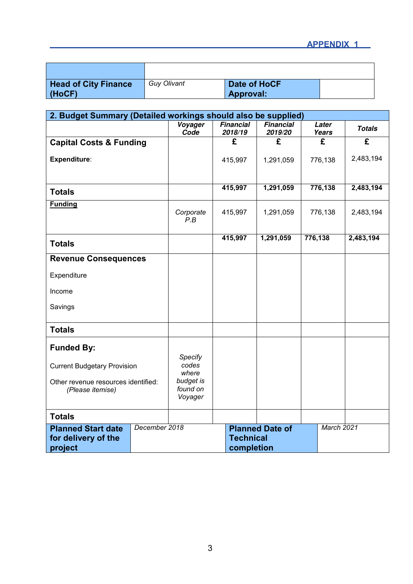| <b>Head of City Finance</b><br>(HoCF) | <b>Guy Olivant</b> | Date of HoCF<br>Approval: |  |
|---------------------------------------|--------------------|---------------------------|--|

| 2. Budget Summary (Detailed workings should also be supplied)                                 |               |                                                                        |                             |                             |                       |                         |
|-----------------------------------------------------------------------------------------------|---------------|------------------------------------------------------------------------|-----------------------------|-----------------------------|-----------------------|-------------------------|
|                                                                                               |               | Voyager<br>Code                                                        | <b>Financial</b><br>2018/19 | <b>Financial</b><br>2019/20 | Later<br><b>Years</b> | <b>Totals</b>           |
| <b>Capital Costs &amp; Funding</b>                                                            |               |                                                                        | £                           | £                           | £                     | $\overline{\mathbf{f}}$ |
| Expenditure:                                                                                  |               |                                                                        | 415,997                     | 1,291,059                   | 776,138               | 2,483,194               |
|                                                                                               |               |                                                                        | 415,997                     | 1,291,059                   | 776,138               | 2,483,194               |
| <b>Totals</b>                                                                                 |               |                                                                        |                             |                             |                       |                         |
| <b>Funding</b>                                                                                |               | Corporate<br>P.B                                                       | 415,997                     | 1,291,059                   | 776,138               | 2,483,194               |
|                                                                                               |               |                                                                        | 415,997                     | 1,291,059                   | 776,138               | 2,483,194               |
| <b>Totals</b>                                                                                 |               |                                                                        |                             |                             |                       |                         |
| <b>Revenue Consequences</b>                                                                   |               |                                                                        |                             |                             |                       |                         |
| Expenditure                                                                                   |               |                                                                        |                             |                             |                       |                         |
| Income                                                                                        |               |                                                                        |                             |                             |                       |                         |
| Savings                                                                                       |               |                                                                        |                             |                             |                       |                         |
| <b>Totals</b>                                                                                 |               |                                                                        |                             |                             |                       |                         |
| <b>Funded By:</b>                                                                             |               |                                                                        |                             |                             |                       |                         |
| <b>Current Budgetary Provision</b><br>Other revenue resources identified:<br>(Please itemise) |               | Specify<br>codes<br>where<br>budget is<br>found on<br>Voyager          |                             |                             |                       |                         |
| <b>Totals</b>                                                                                 |               |                                                                        |                             |                             |                       |                         |
| <b>Planned Start date</b><br>for delivery of the<br>project                                   | December 2018 | March 2021<br><b>Planned Date of</b><br><b>Technical</b><br>completion |                             |                             |                       |                         |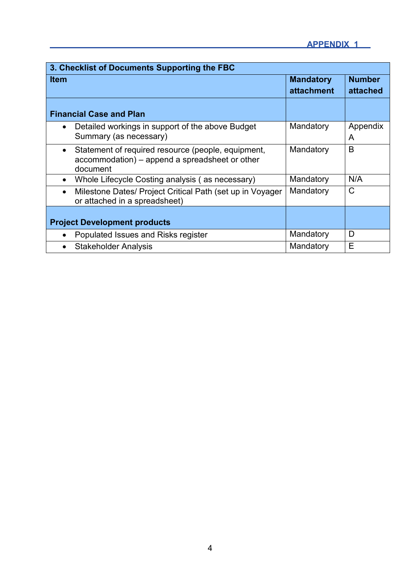| 3. Checklist of Documents Supporting the FBC                                                            |                   |               |  |  |  |  |
|---------------------------------------------------------------------------------------------------------|-------------------|---------------|--|--|--|--|
| <b>Item</b>                                                                                             | <b>Mandatory</b>  | <b>Number</b> |  |  |  |  |
|                                                                                                         | <b>attachment</b> | attached      |  |  |  |  |
|                                                                                                         |                   |               |  |  |  |  |
| <b>Financial Case and Plan</b>                                                                          |                   |               |  |  |  |  |
| Detailed workings in support of the above Budget<br>$\bullet$                                           | Mandatory         | Appendix      |  |  |  |  |
| Summary (as necessary)                                                                                  |                   | A             |  |  |  |  |
| Statement of required resource (people, equipment,<br>$\bullet$                                         | Mandatory         | B             |  |  |  |  |
| accommodation) – append a spreadsheet or other<br>document                                              |                   |               |  |  |  |  |
| Whole Lifecycle Costing analysis (as necessary)<br>$\bullet$                                            | Mandatory         | N/A           |  |  |  |  |
|                                                                                                         |                   |               |  |  |  |  |
| Milestone Dates/ Project Critical Path (set up in Voyager<br>$\bullet$<br>or attached in a spreadsheet) | Mandatory         | C             |  |  |  |  |
|                                                                                                         |                   |               |  |  |  |  |
| <b>Project Development products</b>                                                                     |                   |               |  |  |  |  |
| Populated Issues and Risks register                                                                     | Mandatory         | D             |  |  |  |  |
| <b>Stakeholder Analysis</b>                                                                             | Mandatory         | E             |  |  |  |  |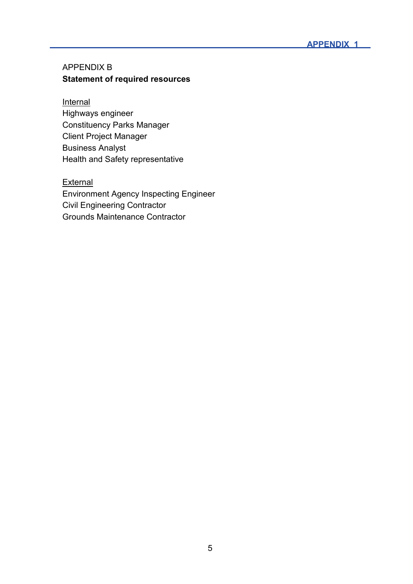#### APPENDIX B **Statement of required resources**

#### **Internal**

Highways engineer Constituency Parks Manager Client Project Manager Business Analyst Health and Safety representative

#### **External**

Environment Agency Inspecting Engineer Civil Engineering Contractor Grounds Maintenance Contractor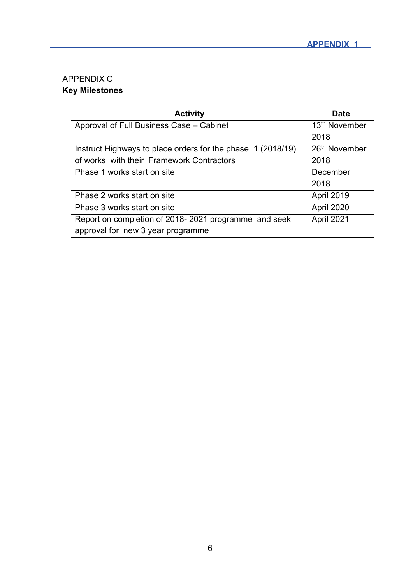# APPENDIX C **Key Milestones**

| <b>Activity</b>                                             | <b>Date</b>               |
|-------------------------------------------------------------|---------------------------|
| Approval of Full Business Case - Cabinet                    | 13 <sup>th</sup> November |
|                                                             | 2018                      |
| Instruct Highways to place orders for the phase 1 (2018/19) | 26 <sup>th</sup> November |
| of works with their Framework Contractors                   | 2018                      |
| Phase 1 works start on site                                 | December                  |
|                                                             | 2018                      |
| Phase 2 works start on site                                 | April 2019                |
| Phase 3 works start on site                                 | April 2020                |
| Report on completion of 2018-2021 programme and seek        | April 2021                |
| approval for new 3 year programme                           |                           |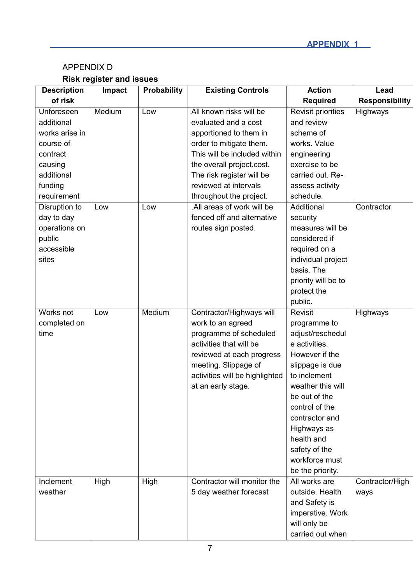# APPENDIX D **Risk register and issues**

| <b>Description</b> | <b>Impact</b> | <b>Probability</b> | <b>Existing Controls</b>       | <b>Action</b>             | Lead                  |
|--------------------|---------------|--------------------|--------------------------------|---------------------------|-----------------------|
| of risk            |               |                    |                                | <b>Required</b>           | <b>Responsibility</b> |
| Unforeseen         | Medium        | Low                | All known risks will be        | <b>Revisit priorities</b> | Highways              |
| additional         |               |                    | evaluated and a cost           | and review                |                       |
| works arise in     |               |                    | apportioned to them in         | scheme of                 |                       |
| course of          |               |                    | order to mitigate them.        | works. Value              |                       |
| contract           |               |                    | This will be included within   | engineering               |                       |
| causing            |               |                    | the overall project.cost.      | exercise to be            |                       |
| additional         |               |                    | The risk register will be      | carried out. Re-          |                       |
| funding            |               |                    | reviewed at intervals          | assess activity           |                       |
| requirement        |               |                    | throughout the project.        | schedule.                 |                       |
| Disruption to      | Low           | Low                | .All areas of work will be     | Additional                | Contractor            |
| day to day         |               |                    | fenced off and alternative     | security                  |                       |
| operations on      |               |                    | routes sign posted.            | measures will be          |                       |
| public             |               |                    |                                | considered if             |                       |
| accessible         |               |                    |                                | required on a             |                       |
| sites              |               |                    |                                | individual project        |                       |
|                    |               |                    |                                | basis. The                |                       |
|                    |               |                    |                                | priority will be to       |                       |
|                    |               |                    |                                | protect the               |                       |
|                    |               |                    |                                | public.                   |                       |
| Works not          | Low           | Medium             | Contractor/Highways will       | <b>Revisit</b>            | Highways              |
| completed on       |               |                    | work to an agreed              | programme to              |                       |
| time               |               |                    | programme of scheduled         | adjust/reschedul          |                       |
|                    |               |                    | activities that will be        | e activities.             |                       |
|                    |               |                    | reviewed at each progress      | However if the            |                       |
|                    |               |                    | meeting. Slippage of           | slippage is due           |                       |
|                    |               |                    | activities will be highlighted | to inclement              |                       |
|                    |               |                    | at an early stage.             | weather this will         |                       |
|                    |               |                    |                                | be out of the             |                       |
|                    |               |                    |                                | control of the            |                       |
|                    |               |                    |                                | contractor and            |                       |
|                    |               |                    |                                | Highways as               |                       |
|                    |               |                    |                                | health and                |                       |
|                    |               |                    |                                | safety of the             |                       |
|                    |               |                    |                                | workforce must            |                       |
|                    |               |                    |                                | be the priority.          |                       |
| Inclement          | High          | High               | Contractor will monitor the    | All works are             | Contractor/High       |
| weather            |               |                    | 5 day weather forecast         | outside. Health           | ways                  |
|                    |               |                    |                                | and Safety is             |                       |
|                    |               |                    |                                | imperative. Work          |                       |
|                    |               |                    |                                | will only be              |                       |
|                    |               |                    |                                | carried out when          |                       |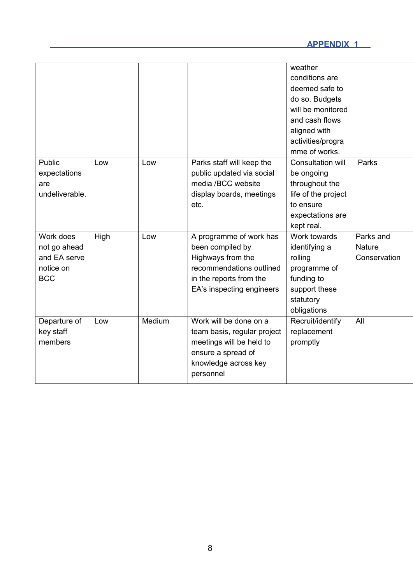|                |      |        |                             | weather             |               |
|----------------|------|--------|-----------------------------|---------------------|---------------|
|                |      |        |                             | conditions are      |               |
|                |      |        |                             | deemed safe to      |               |
|                |      |        |                             | do so. Budgets      |               |
|                |      |        |                             | will be monitored   |               |
|                |      |        |                             | and cash flows      |               |
|                |      |        |                             | aligned with        |               |
|                |      |        |                             | activities/progra   |               |
|                |      |        |                             | mme of works.       |               |
| Public         | Low  | Low    | Parks staff will keep the   | Consultation will   | Parks         |
| expectations   |      |        | public updated via social   | be ongoing          |               |
| are            |      |        | media /BCC website          | throughout the      |               |
| undeliverable. |      |        | display boards, meetings    | life of the project |               |
|                |      |        | etc.                        | to ensure           |               |
|                |      |        |                             | expectations are    |               |
|                |      |        |                             | kept real.          |               |
| Work does      | High | Low    | A programme of work has     | Work towards        | Parks and     |
| not go ahead   |      |        | been compiled by            | identifying a       | <b>Nature</b> |
| and EA serve   |      |        | Highways from the           | rolling             | Conservation  |
| notice on      |      |        | recommendations outlined    | programme of        |               |
| <b>BCC</b>     |      |        | in the reports from the     | funding to          |               |
|                |      |        | EA's inspecting engineers   | support these       |               |
|                |      |        |                             | statutory           |               |
|                |      |        |                             | obligations         |               |
| Departure of   | Low  | Medium | Work will be done on a      | Recruit/identify    | All           |
| key staff      |      |        | team basis, regular project | replacement         |               |
| members        |      |        | meetings will be held to    | promptly            |               |
|                |      |        | ensure a spread of          |                     |               |
|                |      |        | knowledge across key        |                     |               |
|                |      |        | personnel                   |                     |               |
|                |      |        |                             |                     |               |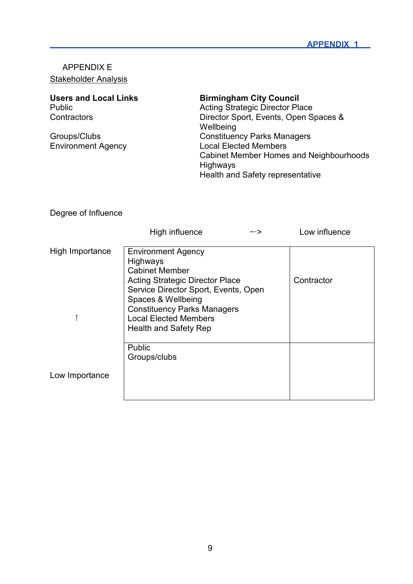# APPENDIX E **Stakeholder Analysis**

| <b>Users and Local Links</b> | <b>Birmingham City Council</b>          |
|------------------------------|-----------------------------------------|
| Public                       | <b>Acting Strategic Director Place</b>  |
| Contractors                  | Director Sport, Events, Open Spaces &   |
|                              | Wellbeing                               |
| Groups/Clubs                 | <b>Constituency Parks Managers</b>      |
| <b>Environment Agency</b>    | <b>Local Elected Members</b>            |
|                              | Cabinet Member Homes and Neighbourhoods |
|                              | Highways                                |
|                              | Health and Safety representative        |

# Degree of Influence

|                 | High influence                                                                                                                                                                                             | $\rightarrow$ | Low influence |
|-----------------|------------------------------------------------------------------------------------------------------------------------------------------------------------------------------------------------------------|---------------|---------------|
| High Importance | <b>Environment Agency</b><br><b>Highways</b><br><b>Cabinet Member</b>                                                                                                                                      |               |               |
|                 | <b>Acting Strategic Director Place</b><br>Service Director Sport, Events, Open<br>Spaces & Wellbeing<br><b>Constituency Parks Managers</b><br><b>Local Elected Members</b><br><b>Health and Safety Rep</b> |               | Contractor    |
|                 | <b>Public</b><br>Groups/clubs                                                                                                                                                                              |               |               |
| Low Importance  |                                                                                                                                                                                                            |               |               |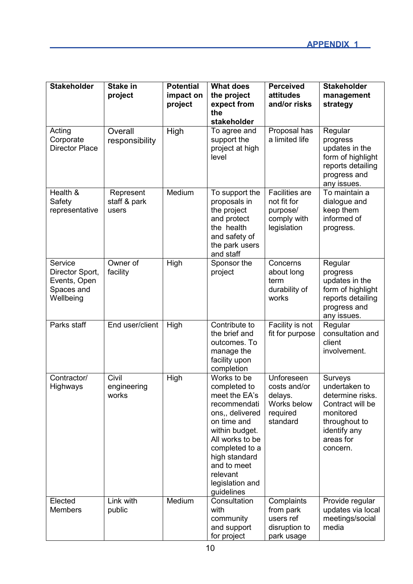| <b>Stakeholder</b>                                                    | Stake in<br>project                | <b>Potential</b><br>impact on<br>project | <b>What does</b><br>the project<br>expect from<br>the<br>stakeholder                                                                                                                                                               | <b>Perceived</b><br>attitudes<br>and/or risks                                  | <b>Stakeholder</b><br>management<br>strategy                                                                                            |
|-----------------------------------------------------------------------|------------------------------------|------------------------------------------|------------------------------------------------------------------------------------------------------------------------------------------------------------------------------------------------------------------------------------|--------------------------------------------------------------------------------|-----------------------------------------------------------------------------------------------------------------------------------------|
| Acting<br>Corporate<br><b>Director Place</b>                          | Overall<br>responsibility          | High                                     | To agree and<br>support the<br>project at high<br>level                                                                                                                                                                            | Proposal has<br>a limited life                                                 | Regular<br>progress<br>updates in the<br>form of highlight<br>reports detailing<br>progress and<br>any issues.                          |
| Health &<br>Safety<br>representative                                  | Represent<br>staff & park<br>users | Medium                                   | To support the<br>proposals in<br>the project<br>and protect<br>the health<br>and safety of<br>the park users<br>and staff                                                                                                         | <b>Facilities are</b><br>not fit for<br>purpose/<br>comply with<br>legislation | To maintain a<br>dialogue and<br>keep them<br>informed of<br>progress.                                                                  |
| Service<br>Director Sport,<br>Events, Open<br>Spaces and<br>Wellbeing | Owner of<br>facility               | High                                     | Sponsor the<br>project                                                                                                                                                                                                             | Concerns<br>about long<br>term<br>durability of<br>works                       | Regular<br>progress<br>updates in the<br>form of highlight<br>reports detailing<br>progress and<br>any issues.                          |
| Parks staff                                                           | End user/client                    | High                                     | Contribute to<br>the brief and<br>outcomes. To<br>manage the<br>facility upon<br>completion                                                                                                                                        | Facility is not<br>fit for purpose                                             | Regular<br>consultation and<br>client<br>involvement.                                                                                   |
| Contractor/<br>Highways                                               | Civil<br>engineering<br>works      | High                                     | Works to be<br>completed to<br>meet the EA's<br>recommendati<br>ons,, delivered<br>on time and<br>within budget.<br>All works to be<br>completed to a<br>high standard<br>and to meet<br>relevant<br>legislation and<br>guidelines | Unforeseen<br>costs and/or<br>delays.<br>Works below<br>required<br>standard   | Surveys<br>undertaken to<br>determine risks.<br>Contract will be<br>monitored<br>throughout to<br>identify any<br>areas for<br>concern. |
| Elected<br><b>Members</b>                                             | Link with<br>public                | Medium                                   | Consultation<br>with<br>community<br>and support<br>for project                                                                                                                                                                    | Complaints<br>from park<br>users ref<br>disruption to<br>park usage            | Provide regular<br>updates via local<br>meetings/social<br>media                                                                        |